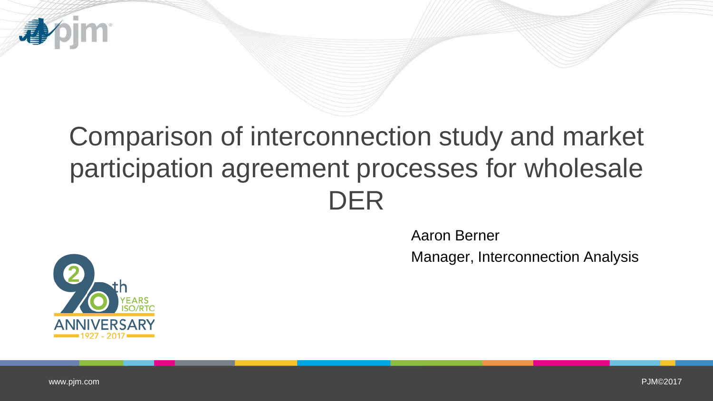

Aaron Berner

Manager, Interconnection Analysis



PJM©2017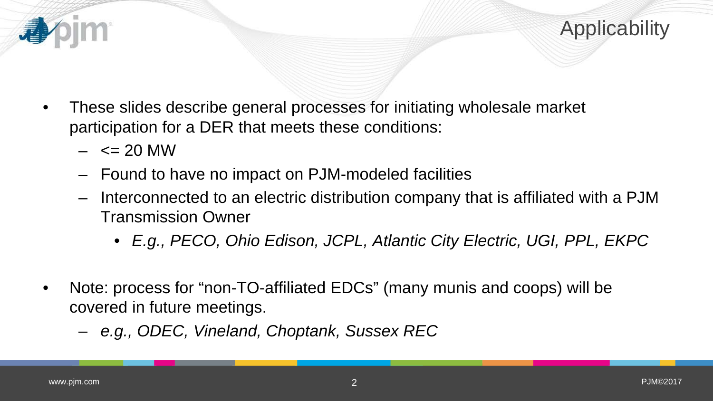

- $\leq$  20 MW
- Found to have no impact on PJM-modeled facilities
- Interconnected to an electric distribution company that is affiliated with a PJM Transmission Owner
	- *E.g., PECO, Ohio Edison, JCPL, Atlantic City Electric, UGI, PPL, EKPC*
- Note: process for "non-TO-affiliated EDCs" (many munis and coops) will be covered in future meetings.
	- *e.g., ODEC, Vineland, Choptank, Sussex REC*

Applicability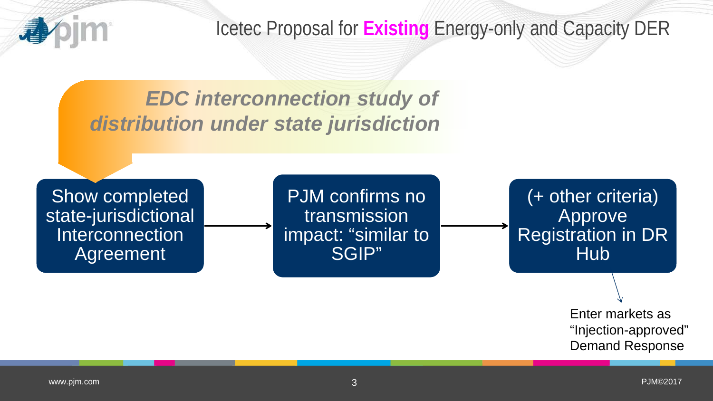

Show completed state-jurisdictional Interconnection Agreement

PJM confirms no transmission impact: "similar to SGIP"

(+ other criteria) **Approve** Registration in DR **Hub** 

> Enter markets as "Injection-approved" Demand Response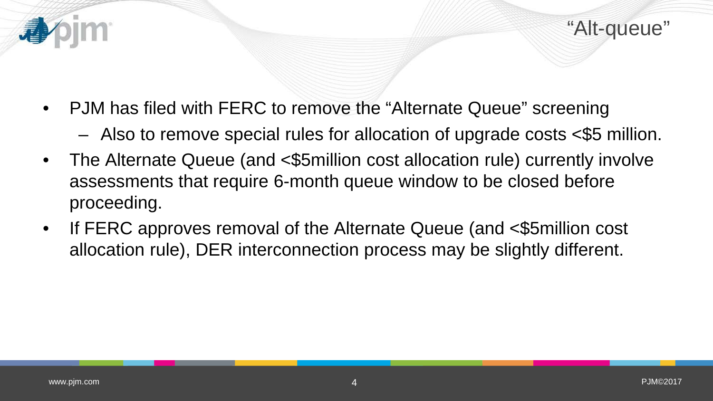

- PJM has filed with FERC to remove the "Alternate Queue" screening
	- Also to remove special rules for allocation of upgrade costs <\$5 million.
- The Alternate Queue (and <\$5million cost allocation rule) currently involve assessments that require 6-month queue window to be closed before proceeding.
- If FERC approves removal of the Alternate Queue (and <\$5million cost allocation rule), DER interconnection process may be slightly different.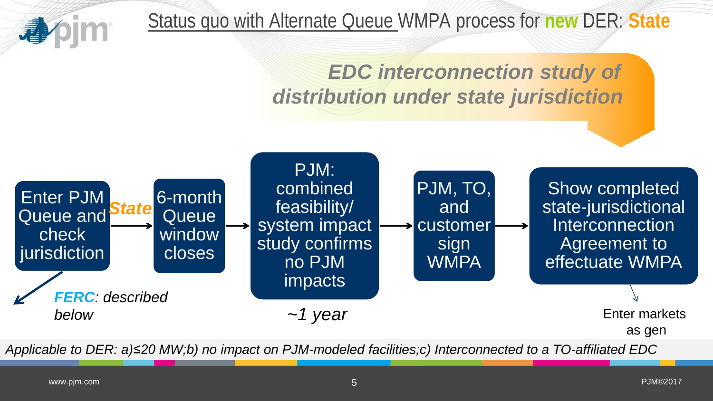

Status quo with Alternate Queue WMPA process for **new** DER: **State**

*EDC interconnection study of distribution under state jurisdiction*

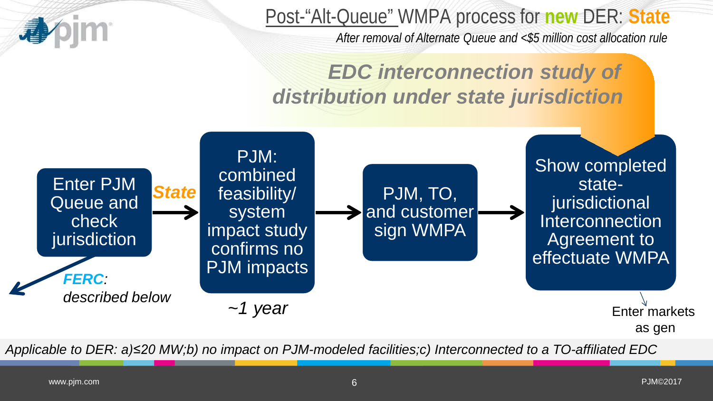

Post-"Alt-Queue" WMPA process for **new** DER: **State** *After removal of Alternate Queue and <\$5 million cost allocation rule* 

*EDC interconnection study of distribution under state jurisdiction*

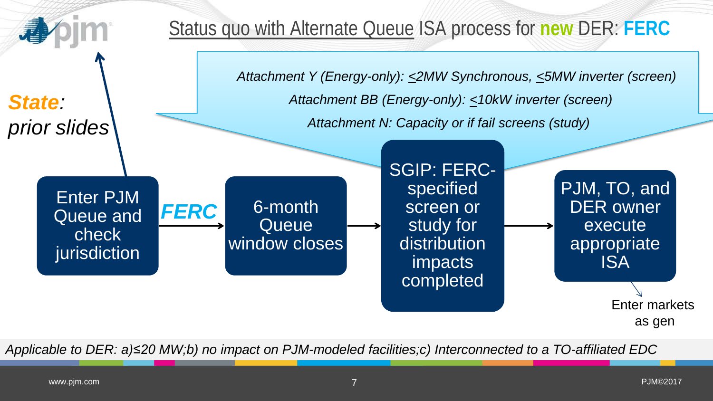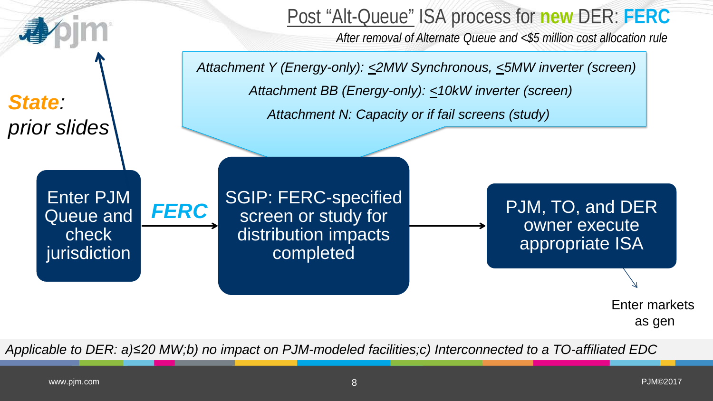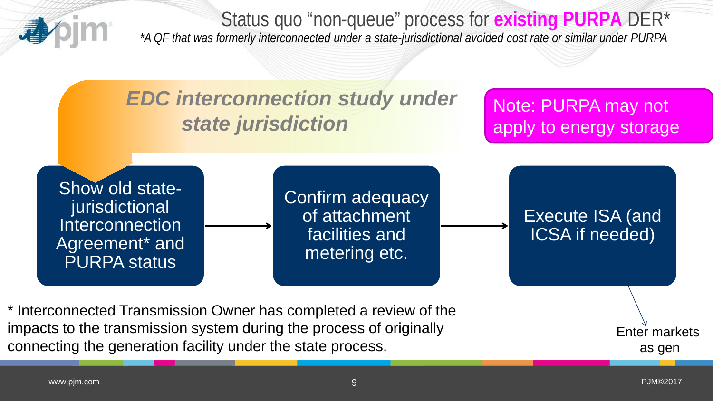

Status quo "non-queue" process for **existing PURPA** DER\* *\*A QF that was formerly interconnected under a state-jurisdictional avoided cost rate or similar under PURPA*



\* Interconnected Transmission Owner has completed a review of the impacts to the transmission system during the process of originally connecting the generation facility under the state process.

9 PJM©2017

Enter markets

as gen